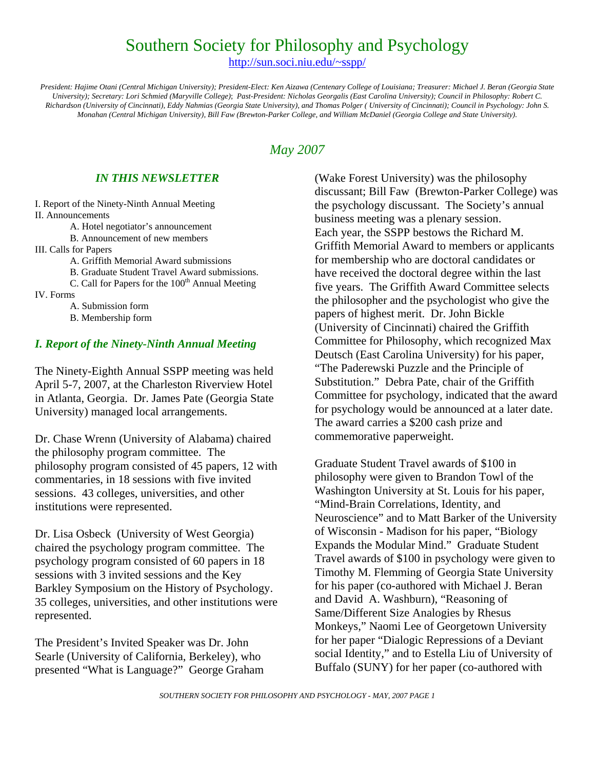# Southern Society for Philosophy and Psychology

http://sun.soci.niu.edu/~sspp/

*President: Hajime Otani (Central Michigan University); President-Elect: Ken Aizawa (Centenary College of Louisiana; Treasurer: Michael J. Beran (Georgia State University); Secretary: Lori Schmied (Maryville College)*; *Past-President: Nicholas Georgalis (East Carolina University); Council in Philosophy: Robert C. Richardson (University of Cincinnati), Eddy Nahmias (Georgia State University), and Thomas Polger ( University of Cincinnati); Council in Psychology: John S. Monahan (Central Michigan University), Bill Faw (Brewton-Parker College, and William McDaniel (Georgia College and State University).* 

### *May 2007*

#### *IN THIS NEWSLETTER*

I. Report of the Ninety-Ninth Annual Meeting II. Announcements

A. Hotel negotiator's announcement

B. Announcement of new members

III. Calls for Papers

A. Griffith Memorial Award submissions

B. Graduate Student Travel Award submissions.

C. Call for Papers for the  $100<sup>th</sup>$  Annual Meeting

IV. Forms

A. Submission form

B. Membership form

#### *I. Report of the Ninety-Ninth Annual Meeting*

The Ninety-Eighth Annual SSPP meeting was held April 5-7, 2007, at the Charleston Riverview Hotel in Atlanta, Georgia. Dr. James Pate (Georgia State University) managed local arrangements.

Dr. Chase Wrenn (University of Alabama) chaired the philosophy program committee. The philosophy program consisted of 45 papers, 12 with commentaries, in 18 sessions with five invited sessions. 43 colleges, universities, and other institutions were represented.

Dr. Lisa Osbeck (University of West Georgia) chaired the psychology program committee. The psychology program consisted of 60 papers in 18 sessions with 3 invited sessions and the Key Barkley Symposium on the History of Psychology. 35 colleges, universities, and other institutions were represented.

The President's Invited Speaker was Dr. John Searle (University of California, Berkeley), who presented "What is Language?" George Graham (Wake Forest University) was the philosophy discussant; Bill Faw (Brewton-Parker College) was the psychology discussant. The Society's annual business meeting was a plenary session. Each year, the SSPP bestows the Richard M. Griffith Memorial Award to members or applicants for membership who are doctoral candidates or have received the doctoral degree within the last five years. The Griffith Award Committee selects the philosopher and the psychologist who give the papers of highest merit. Dr. John Bickle (University of Cincinnati) chaired the Griffith Committee for Philosophy, which recognized Max Deutsch (East Carolina University) for his paper, "The Paderewski Puzzle and the Principle of Substitution." Debra Pate, chair of the Griffith Committee for psychology, indicated that the award for psychology would be announced at a later date. The award carries a \$200 cash prize and commemorative paperweight.

Graduate Student Travel awards of \$100 in philosophy were given to Brandon Towl of the Washington University at St. Louis for his paper, "Mind-Brain Correlations, Identity, and Neuroscience" and to Matt Barker of the University of Wisconsin - Madison for his paper, "Biology Expands the Modular Mind." Graduate Student Travel awards of \$100 in psychology were given to Timothy M. Flemming of Georgia State University for his paper (co-authored with Michael J. Beran and David A. Washburn), "Reasoning of Same/Different Size Analogies by Rhesus Monkeys," Naomi Lee of Georgetown University for her paper "Dialogic Repressions of a Deviant social Identity," and to Estella Liu of University of Buffalo (SUNY) for her paper (co-authored with

*SOUTHERN SOCIETY FOR PHILOSOPHY AND PSYCHOLOGY - MAY, 2007 PAGE 1*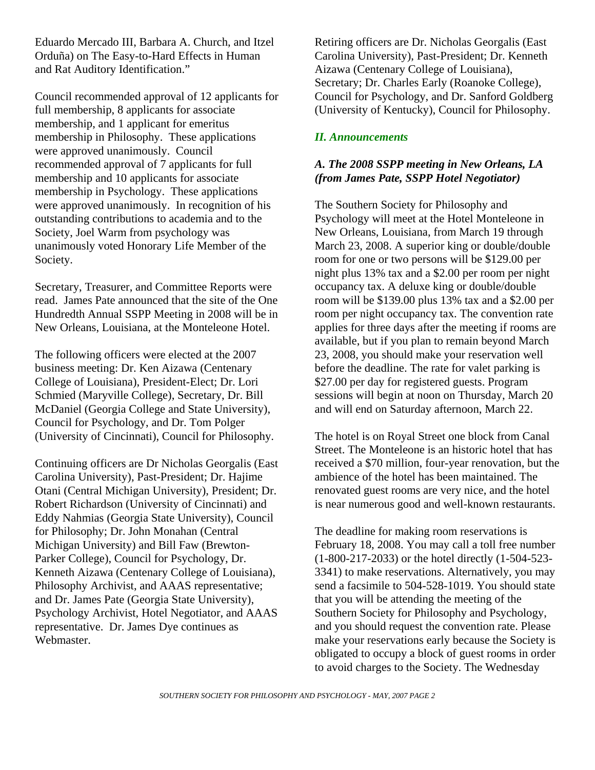Eduardo Mercado III, Barbara A. Church, and Itzel Orduña) on The Easy-to-Hard Effects in Human and Rat Auditory Identification."

Council recommended approval of 12 applicants for full membership, 8 applicants for associate membership, and 1 applicant for emeritus membership in Philosophy. These applications were approved unanimously. Council recommended approval of 7 applicants for full membership and 10 applicants for associate membership in Psychology. These applications were approved unanimously. In recognition of his outstanding contributions to academia and to the Society, Joel Warm from psychology was unanimously voted Honorary Life Member of the Society.

Secretary, Treasurer, and Committee Reports were read. James Pate announced that the site of the One Hundredth Annual SSPP Meeting in 2008 will be in New Orleans, Louisiana, at the Monteleone Hotel.

The following officers were elected at the 2007 business meeting: Dr. Ken Aizawa (Centenary College of Louisiana), President-Elect; Dr. Lori Schmied (Maryville College), Secretary, Dr. Bill McDaniel (Georgia College and State University), Council for Psychology, and Dr. Tom Polger (University of Cincinnati), Council for Philosophy.

Continuing officers are Dr Nicholas Georgalis (East Carolina University), Past-President; Dr. Hajime Otani (Central Michigan University), President; Dr. Robert Richardson (University of Cincinnati) and Eddy Nahmias (Georgia State University), Council for Philosophy; Dr. John Monahan (Central Michigan University) and Bill Faw (Brewton-Parker College), Council for Psychology, Dr. Kenneth Aizawa (Centenary College of Louisiana), Philosophy Archivist, and AAAS representative; and Dr. James Pate (Georgia State University), Psychology Archivist, Hotel Negotiator, and AAAS representative. Dr. James Dye continues as Webmaster.

Retiring officers are Dr. Nicholas Georgalis (East Carolina University), Past-President; Dr. Kenneth Aizawa (Centenary College of Louisiana), Secretary; Dr. Charles Early (Roanoke College), Council for Psychology, and Dr. Sanford Goldberg (University of Kentucky), Council for Philosophy.

#### *II. Announcements*

#### *A. The 2008 SSPP meeting in New Orleans, LA (from James Pate, SSPP Hotel Negotiator)*

The Southern Society for Philosophy and Psychology will meet at the Hotel Monteleone in New Orleans, Louisiana, from March 19 through March 23, 2008. A superior king or double/double room for one or two persons will be \$129.00 per night plus 13% tax and a \$2.00 per room per night occupancy tax. A deluxe king or double/double room will be \$139.00 plus 13% tax and a \$2.00 per room per night occupancy tax. The convention rate applies for three days after the meeting if rooms are available, but if you plan to remain beyond March 23, 2008, you should make your reservation well before the deadline. The rate for valet parking is \$27.00 per day for registered guests. Program sessions will begin at noon on Thursday, March 20 and will end on Saturday afternoon, March 22.

The hotel is on Royal Street one block from Canal Street. The Monteleone is an historic hotel that has received a \$70 million, four-year renovation, but the ambience of the hotel has been maintained. The renovated guest rooms are very nice, and the hotel is near numerous good and well-known restaurants.

The deadline for making room reservations is February 18, 2008. You may call a toll free number (1-800-217-2033) or the hotel directly (1-504-523- 3341) to make reservations. Alternatively, you may send a facsimile to 504-528-1019. You should state that you will be attending the meeting of the Southern Society for Philosophy and Psychology, and you should request the convention rate. Please make your reservations early because the Society is obligated to occupy a block of guest rooms in order to avoid charges to the Society. The Wednesday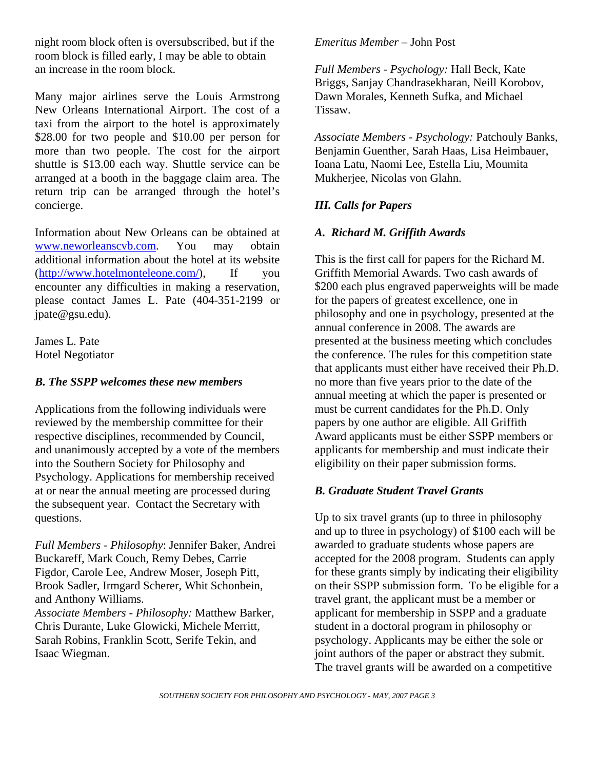night room block often is oversubscribed, but if the room block is filled early, I may be able to obtain an increase in the room block.

Many major airlines serve the Louis Armstrong New Orleans International Airport. The cost of a taxi from the airport to the hotel is approximately \$28.00 for two people and \$10.00 per person for more than two people. The cost for the airport shuttle is \$13.00 each way. Shuttle service can be arranged at a booth in the baggage claim area. The return trip can be arranged through the hotel's concierge.

Information about New Orleans can be obtained at www.neworleanscvb.com. You may obtain additional information about the hotel at its website (http://www.hotelmonteleone.com/), If you encounter any difficulties in making a reservation, please contact James L. Pate (404-351-2199 or jpate@gsu.edu).

James L. Pate Hotel Negotiator

#### *B. The SSPP welcomes these new members*

Applications from the following individuals were reviewed by the membership committee for their respective disciplines, recommended by Council, and unanimously accepted by a vote of the members into the Southern Society for Philosophy and Psychology. Applications for membership received at or near the annual meeting are processed during the subsequent year. Contact the Secretary with questions.

*Full Members - Philosophy*: Jennifer Baker, Andrei Buckareff, Mark Couch, Remy Debes, Carrie Figdor, Carole Lee, Andrew Moser, Joseph Pitt, Brook Sadler, Irmgard Scherer, Whit Schonbein, and Anthony Williams. *Associate Members - Philosophy:* Matthew Barker, Chris Durante, Luke Glowicki, Michele Merritt, Sarah Robins, Franklin Scott, Serife Tekin, and Isaac Wiegman.

#### *Emeritus Member* – John Post

*Full Members - Psychology:* Hall Beck, Kate Briggs, Sanjay Chandrasekharan, Neill Korobov, Dawn Morales, Kenneth Sufka, and Michael Tissaw.

*Associate Members - Psychology:* Patchouly Banks, Benjamin Guenther, Sarah Haas, Lisa Heimbauer, Ioana Latu, Naomi Lee, Estella Liu, Moumita Mukherjee, Nicolas von Glahn.

#### *III. Calls for Papers*

#### *A. Richard M. Griffith Awards*

This is the first call for papers for the Richard M. Griffith Memorial Awards. Two cash awards of \$200 each plus engraved paperweights will be made for the papers of greatest excellence, one in philosophy and one in psychology, presented at the annual conference in 2008. The awards are presented at the business meeting which concludes the conference. The rules for this competition state that applicants must either have received their Ph.D. no more than five years prior to the date of the annual meeting at which the paper is presented or must be current candidates for the Ph.D. Only papers by one author are eligible. All Griffith Award applicants must be either SSPP members or applicants for membership and must indicate their eligibility on their paper submission forms.

#### *B. Graduate Student Travel Grants*

Up to six travel grants (up to three in philosophy and up to three in psychology) of \$100 each will be awarded to graduate students whose papers are accepted for the 2008 program. Students can apply for these grants simply by indicating their eligibility on their SSPP submission form. To be eligible for a travel grant, the applicant must be a member or applicant for membership in SSPP and a graduate student in a doctoral program in philosophy or psychology. Applicants may be either the sole or joint authors of the paper or abstract they submit. The travel grants will be awarded on a competitive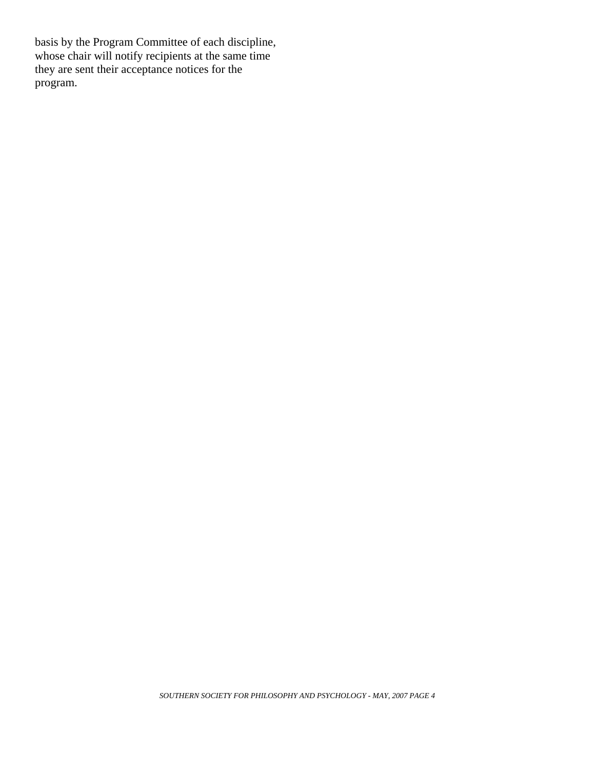basis by the Program Committee of each discipline, whose chair will notify recipients at the same time they are sent their acceptance notices for the program.

*SOUTHERN SOCIETY FOR PHILOSOPHY AND PSYCHOLOGY - MAY, 2007 PAGE 4*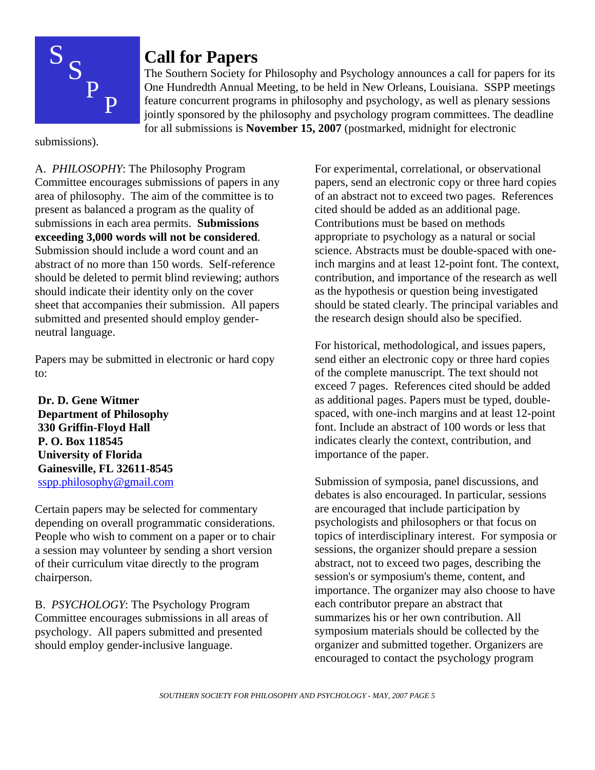

# **Call for Papers**

The Southern Society for Philosophy and Psychology announces a call for papers for its One Hundredth Annual Meeting, to be held in New Orleans, Louisiana. SSPP meetings feature concurrent programs in philosophy and psychology, as well as plenary sessions jointly sponsored by the philosophy and psychology program committees. The deadline for all submissions is **November 15, 2007** (postmarked, midnight for electronic

submissions).

A. *PHILOSOPHY*: The Philosophy Program Committee encourages submissions of papers in any area of philosophy. The aim of the committee is to present as balanced a program as the quality of submissions in each area permits. **Submissions exceeding 3,000 words will not be considered**. Submission should include a word count and an abstract of no more than 150 words. Self-reference should be deleted to permit blind reviewing; authors should indicate their identity only on the cover sheet that accompanies their submission. All papers submitted and presented should employ genderneutral language.

Papers may be submitted in electronic or hard copy to:

 **Dr. D. Gene Witmer Department of Philosophy 330 Griffin-Floyd Hall P. O. Box 118545 University of Florida Gainesville, FL 32611-8545**  sspp.philosophy@gmail.com

Certain papers may be selected for commentary depending on overall programmatic considerations. People who wish to comment on a paper or to chair a session may volunteer by sending a short version of their curriculum vitae directly to the program chairperson.

B. *PSYCHOLOGY*: The Psychology Program Committee encourages submissions in all areas of psychology. All papers submitted and presented should employ gender-inclusive language.

For experimental, correlational, or observational papers, send an electronic copy or three hard copies of an abstract not to exceed two pages. References cited should be added as an additional page. Contributions must be based on methods appropriate to psychology as a natural or social science. Abstracts must be double-spaced with oneinch margins and at least 12-point font. The context, contribution, and importance of the research as well as the hypothesis or question being investigated should be stated clearly. The principal variables and the research design should also be specified.

For historical, methodological, and issues papers, send either an electronic copy or three hard copies of the complete manuscript. The text should not exceed 7 pages. References cited should be added as additional pages. Papers must be typed, doublespaced, with one-inch margins and at least 12-point font. Include an abstract of 100 words or less that indicates clearly the context, contribution, and importance of the paper.

Submission of symposia, panel discussions, and debates is also encouraged. In particular, sessions are encouraged that include participation by psychologists and philosophers or that focus on topics of interdisciplinary interest. For symposia or sessions, the organizer should prepare a session abstract, not to exceed two pages, describing the session's or symposium's theme, content, and importance. The organizer may also choose to have each contributor prepare an abstract that summarizes his or her own contribution. All symposium materials should be collected by the organizer and submitted together. Organizers are encouraged to contact the psychology program

*SOUTHERN SOCIETY FOR PHILOSOPHY AND PSYCHOLOGY - MAY, 2007 PAGE 5*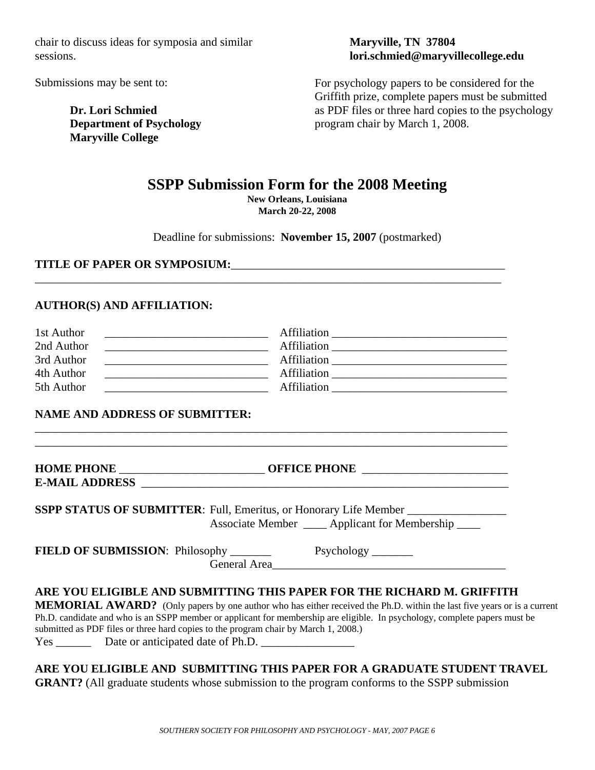chair to discuss ideas for symposia and similar sessions.

Submissions may be sent to:

**Dr. Lori Schmied Department of Psychology Maryville College** 

#### **Maryville, TN 37804 lori.schmied@maryvillecollege.edu**

For psychology papers to be considered for the Griffith prize, complete papers must be submitted as PDF files or three hard copies to the psychology program chair by March 1, 2008.

# **SSPP Submission Form for the 2008 Meeting**

**New Orleans, Louisiana March 20-22, 2008**

Deadline for submissions: **November 15, 2007** (postmarked)

**TITLE OF PAPER OR SYMPOSIUM:**\_\_\_\_\_\_\_\_\_\_\_\_\_\_\_\_\_\_\_\_\_\_\_\_\_\_\_\_\_\_\_\_\_\_\_\_\_\_\_\_\_\_\_\_\_\_\_

#### **AUTHOR(S) AND AFFILIATION:**

| 1st Author | Affiliation        |  |
|------------|--------------------|--|
| 2nd Author | Affiliation        |  |
| 3rd Author | <b>Affiliation</b> |  |
| 4th Author | Affiliation        |  |
| 5th Author | Affiliation        |  |

\_\_\_\_\_\_\_\_\_\_\_\_\_\_\_\_\_\_\_\_\_\_\_\_\_\_\_\_\_\_\_\_\_\_\_\_\_\_\_\_\_\_\_\_\_\_\_\_\_\_\_\_\_\_\_\_\_\_\_\_\_\_\_\_\_\_\_\_\_\_\_\_\_\_\_\_\_\_\_\_\_

\_\_\_\_\_\_\_\_\_\_\_\_\_\_\_\_\_\_\_\_\_\_\_\_\_\_\_\_\_\_\_\_\_\_\_\_\_\_\_\_\_\_\_\_\_\_\_\_\_\_\_\_\_\_\_\_\_\_\_\_\_\_\_\_\_\_\_\_\_\_\_\_\_\_\_\_\_\_\_\_

#### **NAME AND ADDRESS OF SUBMITTER:**

| E-MAIL ADDRESS <b>E-MAIL ADDRESS</b>                                                                                                                                                                              |  |
|-------------------------------------------------------------------------------------------------------------------------------------------------------------------------------------------------------------------|--|
| SSPP STATUS OF SUBMITTER: Full, Emeritus, or Honorary Life Member                                                                                                                                                 |  |
| Associate Member ____ Applicant for Membership ____                                                                                                                                                               |  |
|                                                                                                                                                                                                                   |  |
|                                                                                                                                                                                                                   |  |
| ARE YOU ELIGIBLE AND SUBMITTING THIS PAPER FOR THE RICHARD M. GRIFFITH                                                                                                                                            |  |
| <b>MEMORIAL AWARD?</b> (Only papers by one author who has either received the Ph.D. within the last five years or is a current                                                                                    |  |
| Ph.D. candidate and who is an SSPP member or applicant for membership are eligible. In psychology, complete papers must be<br>submitted as PDF files or three hard copies to the program chair by March 1, 2008.) |  |
|                                                                                                                                                                                                                   |  |

**ARE YOU ELIGIBLE AND SUBMITTING THIS PAPER FOR A GRADUATE STUDENT TRAVEL GRANT?** (All graduate students whose submission to the program conforms to the SSPP submission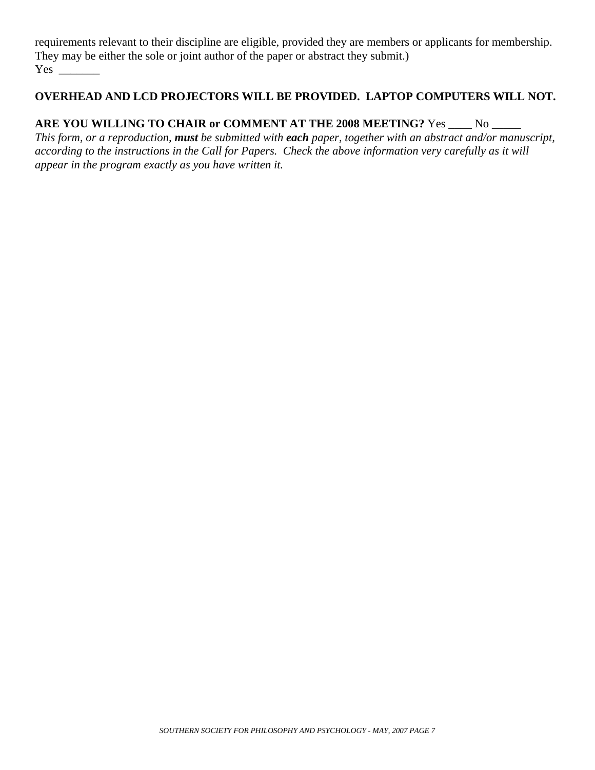requirements relevant to their discipline are eligible, provided they are members or applicants for membership. They may be either the sole or joint author of the paper or abstract they submit.) Yes \_\_\_\_\_\_\_

### **OVERHEAD AND LCD PROJECTORS WILL BE PROVIDED. LAPTOP COMPUTERS WILL NOT.**

## **ARE YOU WILLING TO CHAIR or COMMENT AT THE 2008 MEETING?** Yes \_\_\_\_ No \_\_\_\_\_

*This form, or a reproduction, must be submitted with each paper, together with an abstract and/or manuscript, according to the instructions in the Call for Papers. Check the above information very carefully as it will appear in the program exactly as you have written it.*